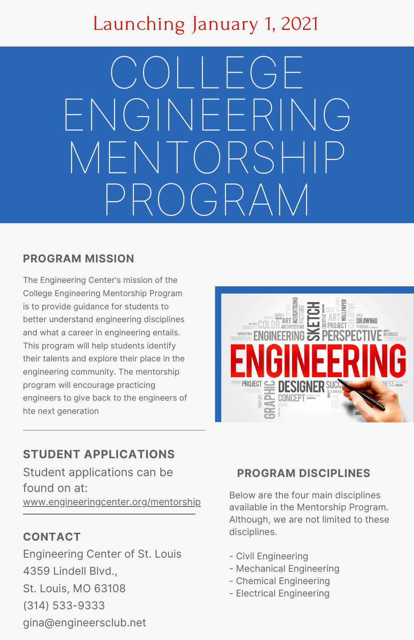## Launching January 1, 2021

 $\bigcirc$ l  $\bigcup$   $\bigcup$ ENGINEERING MENTORSHIP PROGRAM

#### **PROGRAM MISSION**

The Engineering Center's mission of the College Engineering Mentorship Program is to provide guidance for students to better understand engineering disciplines and what a career in engineering entails. This program will help students identify their talents and explore their place in the engineering community. The mentorship program will encourage practicing engineers to give back to the engineers of hte next generation



## **STUDENT APPLICATIONS**

Student applications can be found on at: [www.engineeringcenter.org/mentorship](http://www.engineeringcenter.org/mentorship)

## **CONTACT**

Engineering Center of St. Louis 4359 Lindell Blvd., St. Louis, MO 63108 (314) 533-9333 gina@engineersclub.net

### **PROGRAM DISCIPLINES**

Below are the four main disciplines available in the Mentorship Program. Although, we are not limited to these disciplines.

- Civil Engineering
- Mechanical Engineering
- Chemical Engineering
- Electrical Engineering